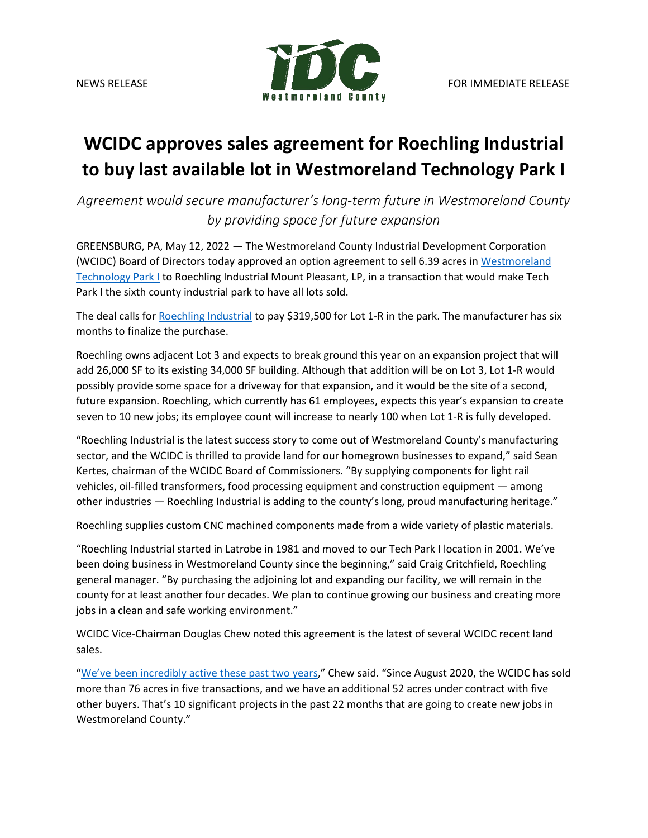

## **WCIDC approves sales agreement for Roechling Industrial to buy last available lot in Westmoreland Technology Park I**

*Agreement would secure manufacturer's long-term future in Westmoreland County by providing space for future expansion*

GREENSBURG, PA, May 12, 2022 — The Westmoreland County Industrial Development Corporation (WCIDC) Board of Directors today approved an option agreement to sell 6.39 acres i[n Westmoreland](https://www.co.westmoreland.pa.us/591/Westmoreland-Technology-Park-I)  [Technology Park I](https://www.co.westmoreland.pa.us/591/Westmoreland-Technology-Park-I) to Roechling Industrial Mount Pleasant, LP, in a transaction that would make Tech Park I the sixth county industrial park to have all lots sold.

The deal calls for [Roechling](https://www.roechling.com/us/industrial/rep-us/) Industrial to pay \$319,500 for Lot 1-R in the park. The manufacturer has six months to finalize the purchase.

Roechling owns adjacent Lot 3 and expects to break ground this year on an expansion project that will add 26,000 SF to its existing 34,000 SF building. Although that addition will be on Lot 3, Lot 1-R would possibly provide some space for a driveway for that expansion, and it would be the site of a second, future expansion. Roechling, which currently has 61 employees, expects this year's expansion to create seven to 10 new jobs; its employee count will increase to nearly 100 when Lot 1-R is fully developed.

"Roechling Industrial is the latest success story to come out of Westmoreland County's manufacturing sector, and the WCIDC is thrilled to provide land for our homegrown businesses to expand," said Sean Kertes, chairman of the WCIDC Board of Commissioners. "By supplying components for light rail vehicles, oil-filled transformers, food processing equipment and construction equipment — among other industries — Roechling Industrial is adding to the county's long, proud manufacturing heritage."

Roechling supplies custom CNC machined components made from a wide variety of plastic materials.

"Roechling Industrial started in Latrobe in 1981 and moved to our Tech Park I location in 2001. We've been doing business in Westmoreland County since the beginning," said Craig Critchfield, Roechling general manager. "By purchasing the adjoining lot and expanding our facility, we will remain in the county for at least another four decades. We plan to continue growing our business and creating more jobs in a clean and safe working environment."

WCIDC Vice-Chairman Douglas Chew noted this agreement is the latest of several WCIDC recent land sales.

["We've been incredibly active these past two](https://www.co.westmoreland.pa.us/678/Press-Releases) years," Chew said. "Since August 2020, the WCIDC has sold more than 76 acres in five transactions, and we have an additional 52 acres under contract with five other buyers. That's 10 significant projects in the past 22 months that are going to create new jobs in Westmoreland County."